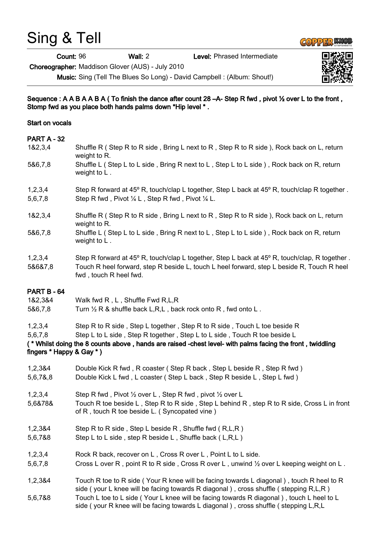## Sing & Tell

Count: 96 Wall: 2 Level: Phrased Intermediate

Choreographer: Maddison Glover (AUS) - July 2010

Music: Sing (Tell The Blues So Long) - David Campbell : (Album: Shout!)

Sequence : A A B A A B A ( To finish the dance after count 28 –A- Step R fwd , pivot ½ over L to the front , Stomp fwd as you place both hands palms down \*Hip level \* .

## Start on vocals

## PART A - 32

| 1&2,3,4                                        | Shuffle R (Step R to R side, Bring L next to R, Step R to R side), Rock back on L, return<br>weight to R.                                                                                                                                                           |
|------------------------------------------------|---------------------------------------------------------------------------------------------------------------------------------------------------------------------------------------------------------------------------------------------------------------------|
| 5&6,7,8                                        | Shuffle L (Step L to L side, Bring R next to L, Step L to L side), Rock back on R, return<br>weight to $L$ .                                                                                                                                                        |
| 1,2,3,4<br>5,6,7,8                             | Step R forward at 45° R, touch/clap L together, Step L back at 45° R, touch/clap R together.<br>Step R fwd, Pivot 1/4 L, Step R fwd, Pivot 1/4 L.                                                                                                                   |
| 1&2,3,4                                        | Shuffle R (Step R to R side, Bring L next to R, Step R to R side), Rock back on L, return<br>weight to R.                                                                                                                                                           |
| 5&6,7,8                                        | Shuffle L (Step L to L side, Bring R next to L, Step L to L side), Rock back on R, return<br>weight to $L$ .                                                                                                                                                        |
| 1,2,3,4<br>5&6&7,8                             | Step R forward at 45° R, touch/clap L together, Step L back at 45° R, touch/clap, R together.<br>Touch R heel forward, step R beside L, touch L heel forward, step L beside R, Touch R heel<br>fwd, touch R heel fwd.                                               |
| PART B - 64                                    |                                                                                                                                                                                                                                                                     |
| 1&2,3&4                                        | Walk fwd R, L, Shuffle Fwd R, L, R                                                                                                                                                                                                                                  |
| 5&6,7,8                                        | Turn 1/2 R & shuffle back L,R,L, back rock onto R, fwd onto L.                                                                                                                                                                                                      |
| 1,2,3,4<br>5,6,7,8<br>fingers * Happy & Gay *) | Step R to R side, Step L together, Step R to R side, Touch L toe beside R<br>Step L to L side, Step R together, Step L to L side, Touch R toe beside L<br>(* Whilst doing the 8 counts above, hands are raised -chest level- with palms facing the front, twiddling |
| 1,2,3&4<br>5,6,7&,8                            | Double Kick R fwd, R coaster (Step R back, Step L beside R, Step R fwd)<br>Double Kick L fwd, L coaster (Step L back, Step R beside L, Step L fwd)                                                                                                                  |
| 1,2,3,4<br>5,6&78&                             | Step R fwd, Pivot 1/2 over L, Step R fwd, pivot 1/2 over L<br>Touch R toe beside L, Step R to R side, Step L behind R, step R to R side, Cross L in front<br>of R, touch R toe beside L. (Syncopated vine)                                                          |
| 1,2,3&4<br>5,6,7&8                             | Step R to R side, Step L beside R, Shuffle fwd (R,L,R)<br>Step L to L side, step R beside L, Shuffle back (L,R,L)                                                                                                                                                   |
| 1,2,3,4<br>5,6,7,8                             | Rock R back, recover on L, Cross R over L, Point L to L side.<br>Cross L over R, point R to R side, Cross R over L, unwind $\frac{1}{2}$ over L keeping weight on L.                                                                                                |
| 1,2,3&4                                        | Touch R toe to R side (Your R knee will be facing towards L diagonal), touch R heel to R<br>side (your L knee will be facing towards R diagonal), cross shuffle (stepping R,L,R)                                                                                    |
| 5,6,7&8                                        | Touch L toe to L side (Your L knee will be facing towards R diagonal), touch L heel to L                                                                                                                                                                            |

side ( your R knee will be facing towards L diagonal ) , cross shuffle ( stepping L,R,L